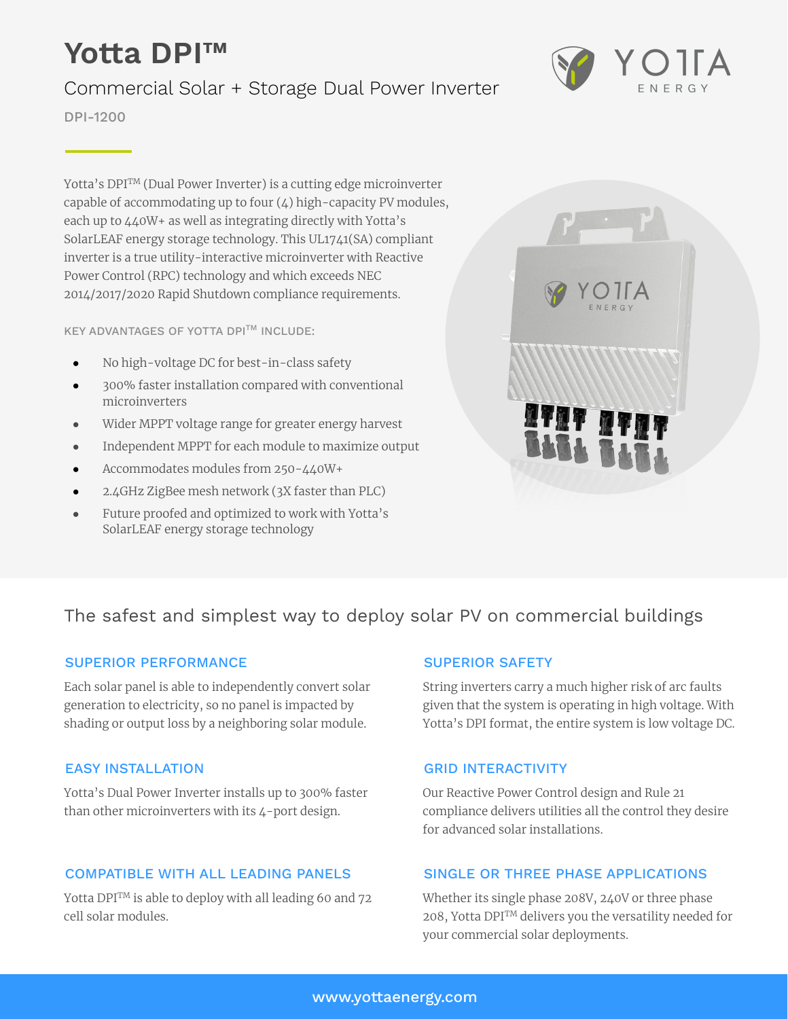# **Yotta DPI™**

# Commercial Solar + Storage Dual Power Inverter

DPI-1200

Yotta's DPI<sup>TM</sup> (Dual Power Inverter) is a cutting edge microinverter capable of accommodating up to four (4) high-capacity PV modules, each up to 440W+ as well as integrating directly with Yotta's SolarLEAF energy storage technology. This UL1741(SA) compliant inverter is a true utility-interactive microinverter with Reactive Power Control (RPC) technology and which exceeds NEC 2014/2017/2020 Rapid Shutdown compliance requirements.

KEY ADVANTAGES OF YOTTA DPI<sup>TM</sup> INCLUDE:

- No high-voltage DC for best-in-class safety
- 300% faster installation compared with conventional microinverters
- Wider MPPT voltage range for greater energy harvest
- Independent MPPT for each module to maximize output
- Accommodates modules from 250-440W+
- 2.4GHz ZigBee mesh network (3X faster than PLC)
- Future proofed and optimized to work with Yotta's SolarLEAF energy storage technology



## The safest and simplest way to deploy solar PV on commercial buildings

#### SUPERIOR PERFORMANCE

Each solar panel is able to independently convert solar generation to electricity, so no panel is impacted by shading or output loss by a neighboring solar module.

#### **FASY INSTALLATION**

Yotta's Dual Power Inverter installs up to 300% faster than other microinverters with its 4-port design.

## COMPATIBLE WITH ALL LEADING PANELS

Yotta DPI<sup>TM</sup> is able to deploy with all leading 60 and 72 cell solar modules.

#### SUPERIOR SAFETY

String inverters carry a much higher risk of arc faults given that the system is operating in high voltage. With Yotta's DPI format, the entire system is low voltage DC.

## GRID INTERACTIVITY

Our Reactive Power Control design and Rule 21 compliance delivers utilities all the control they desire for advanced solar installations.

#### SINGLE OR THREE PHASE APPLICATIONS

Whether its single phase 208V, 240V or three phase 208, Yotta DPITM delivers you the versatility needed for your commercial solar deployments.